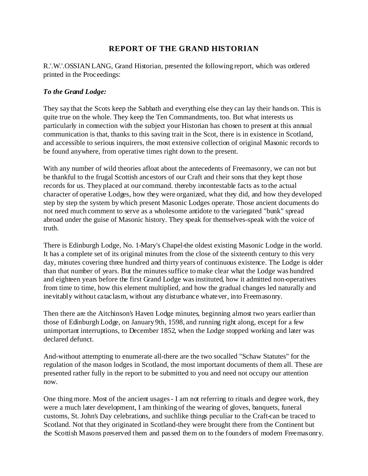# **REPORT OF THE GRAND HISTORIAN**

R.'.W.'.OSSIAN LANG, Grand Historian, presented the following report, which was ordered printed in the Proceedings:

#### *To the Grand Lodge:*

They say that the Scots keep the Sabbath and everything else they can lay their hands on. This is quite true on the whole. They keep the Ten Commandments, too. But what interests us particularly in connection with the subject your Historian has chosen to present at this annual communication is that, thanks to this saving trait in the Scot, there is in existence in Scotland, and accessible to serious inquirers, the most extensive collection of original Masonic records to be found anywhere, from operative times right down to the present.

With any number of wild theories afloat about the antecedents of Freemasonry, we can not but be thankful to the frugal Scottish ancestors of our Craft and their sons that they kept those records for us. They placed at our command. thereby incontestable facts as to the actual character of operative Lodges, how they were organized, what they did, and how they developed step by step the system by which present Masonic Lodges operate. Those ancient documents do not need much comment to serve as a wholesome antidote to the variegated "bunk" spread abroad under the guise of Masonic history. They speak for themselves-speak with the voice of truth.

There is Edinburgh Lodge, No. 1-Mary's Chapel-the oldest existing Masonic Lodge in the world. It has a complete set of its original minutes from the close of the sixteenth century to this very day, minutes covering three hundred and thirty years of continuous existence. The Lodge is older than that number of years. But the minutes suffice to make clear what the Lodge was hundred and eighteen years before the first Grand Lodge was instituted, how it admitted non-operatives from time to time, how this element multiplied, and how the gradual changes led naturally and inevitably without cataclasm, without any disturbance whatever, into Freemasonry.

Then there are the Aitchinson's Haven Lodge minutes, beginning almost two years earlier than those of Edinburgh Lodge, on January 9th, 1598, and running right along, except for a few unimportant interruptions, to December 1852, when the Lodge stopped working and later was declared defunct.

And-without attempting to enumerate all-there are the two socalled "Schaw Statutes" for the regulation of the mason lodges in Scotland, the most important documents of them all. These are presented rather fully in the report to be submitted to you and need not occupy our attention now.

One thing more. Most of the ancient usages - I am not referring to rituals and degree work, they were a much later development, I am thinking of the wearing of gloves, banquets, funeral customs, St. John's Day celebrations, and suchlike things peculiar to the Craft-can be traced to Scotland. Not that they originated in Scotland-they were brought there from the Continent but the Scottish Masons preserved them and passed them on to the founders of modern Freemasonry.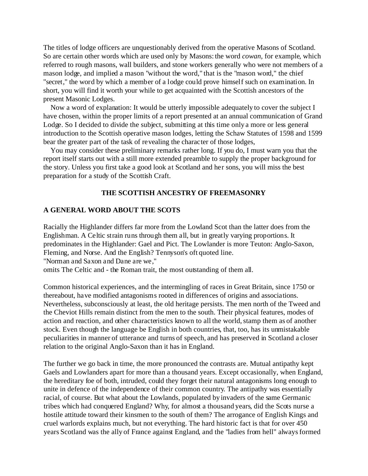The titles of lodge officers are unquestionably derived from the operative Masons of Scotland. So are certain other words which are used only by Masons: the word *cowan,* for example, which referred to rough masons, wall builders, and stone workers generally who were not members of a mason lodge, and implied a mason "without the word," that is the "mason word," the chief "secret," the word by which a member of a lodge could prove himself such on examination. In short, you will find it worth your while to get acquainted with the Scottish ancestors of the present Masonic Lodges.

Now a word of explanation: It would be utterly impossible adequately to cover the subject I have chosen, within the proper limits of a report presented at an annual communication of Grand Lodge. So I decided to divide the subject, submitting at this time only a more or less general introduction to the Scottish operative mason lodges, letting the Schaw Statutes of 1598 and 1599 bear the greater part of the task of revealing the character of those lodges,

You may consider these preliminary remarks rather long. If you do, I must warn you that the report itself starts out with a still more extended preamble to supply the proper background for the story. Unless you first take a good look at Scotland and her sons, you will miss the best preparation for a study of the Scottish Craft.

### **THE SCOTTISH ANCESTRY OF FREEMASONRY**

#### **A GENERAL WORD ABOUT THE SCOTS**

Racially the Highlander differs far more from the Lowland Scot than the latter does from the Englishman. A Celtic strain runs through them all, but in greatly varying proportions. It predominates in the Highlander: Gael and Pict. The Lowlander is more Teuton: Anglo-Saxon, Fleming, and Norse. And the English? Tennyson's oft quoted line.

"Norman and Saxon and Dane are we,"

omits The Celtic and - the Roman trait, the most outstanding of them all.

Common historical experiences, and the intermingling of races in Great Britain, since 1750 or thereabout, have modified antagonisms rooted in differences of origins and associations. Nevertheless, subconsciously at least, the old heritage persists. The men north of the Tweed and the Cheviot Hills remain distinct from the men to the south. Their physical features, modes of action and reaction, and other characteristics known to all the world, stamp them as of another stock. Even though the language be English in both countries, that, too, has its unmistakable peculiarities in manner of utterance and turns of speech, and has preserved in Scotland a closer relation to the original Anglo-Saxon than it has in England.

The further we go back in time, the more pronounced the contrasts are. Mutual antipathy kept Gaels and Lowlanders apart for more than a thousand years. Except occasionally, when England, the hereditary foe of both, intruded, could they forget their natural antagonisms long enough to unite in defence of the independence of their common country. The antipathy was essentially racial, of course. But what about the Lowlands, populated by invaders of the same Germanic tribes which had conquered England? Why, for almost a thousand years, did the Scots nurse a hostile attitude toward their kinsmen to the south of them? The arrogance of English Kings and cruel warlords explains much, but not everything. The hard historic fact is that for over 450 years Scotland was the ally of France against England, and the "ladies from hell" always formed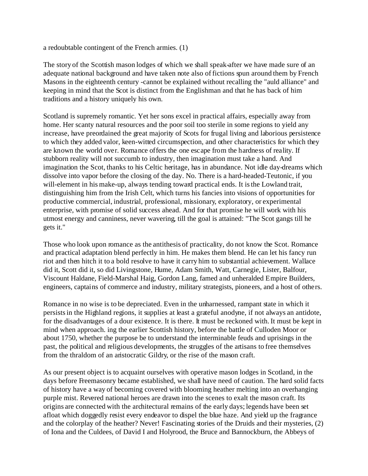a redoubtable contingent of the French armies. (1)

The story of the Scottish mason lodges of which we shall speak-after we have made sure of an adequate national background and have taken note also of fictions spun around them by French Masons in the eighteenth century -cannot be explained without recalling the "auld alliance" and keeping in mind that the Scot is distinct from the Englishman and that he has back of him traditions and a history uniquely his own.

Scotland is supremely romantic. Yet her sons excel in practical affairs, especially away from home. Her scanty natural resources and the poor soil too sterile in some regions to yield any increase, have preordained the great majority of Scots for frugal living and laborious persistence to which they added valor, keen-witted circumspection, and other characteristics for which they are known the world over. Romance offers the one escape from the hardness of reality. If stubborn reality will not succumb to industry, then imagination must take a hand. And imagination the Scot, thanks to his Celtic heritage, has in abundance. Not idle day-dreams which dissolve into vapor before the closing of the day. No. There is a hard-headed-Teutonic, if you will-element in his make-up, always tending toward practical ends. It is the Lowland trait, distinguishing him from the Irish Celt, which turns his fancies into visions of opportunities for productive commercial, industrial, professional, missionary, exploratory, or experimental enterprise, with promise of solid success ahead. And for that promise he will work with his utmost energy and canniness, never wavering, till the goal is attained: "The Scot gangs till he gets it."

Those who look upon romance as the antithesis of practicality, do not know the Scot. Romance and practical adaptation blend perfectly in him. He makes them blend. He can let his fancy run riot and then hitch it to a bold resolve to have it carry him to substantial achievement. Wallace did it, Scott did it, so did Livingstone, Hume, Adam Smith, Watt, Carnegie, Lister, Balfour, Viscount Haldane, Field-Marshal Haig, Gordon Lang, famed and unheralded Empire Builders, engineers, captains of commerce and industry, military strategists, pioneers, and a host of others.

Romance in no wise is to be depreciated. Even in the unharnessed, rampant state in which it persists in the Highland regions, it supplies at least a grateful anodyne, if not always an antidote, for the disadvantages of a dour existence. It is there. It must be reckoned with. It must be kept in mind when approach. ing the earlier Scottish history, before the battle of Culloden Moor or about 1750, whether the purpose be to understand the interminable feuds and uprisings in the past, the political and religious developments, the struggles of the artisans to free themselves from the thraldom of an aristocratic Gildry, or the rise of the mason craft.

As our present object is to acquaint ourselves with operative mason lodges in Scotland, in the days before Freemasonry became established, we shall have need of caution. The hard solid facts of history have a way of becoming covered with blooming heather melting into an overhanging purple mist. Revered national heroes are drawn into the scenes to exalt the mason craft. Its origins are connected with the architectural remains of the early days; legends have been set afloat which doggedly resist every endeavor to dispel the blue haze. And yield up the fragrance and the colorplay of the heather? Never! Fascinating stories of the Druids and their mysteries, (2) of Iona and the Culdees, of David I and Holyrood, the Bruce and Bannockburn, the Abbeys of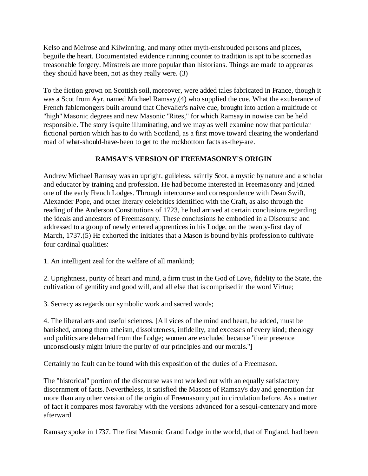Kelso and Melrose and Kilwinning, and many other myth-enshrouded persons and places, beguile the heart. Documentated evidence running counter to tradition is apt to be scorned as treasonable forgery. Minstrels are more popular than historians. Things are made to appear as they should have been, not as they really were. (3)

To the fiction grown on Scottish soil, moreover, were added tales fabricated in France, though it was a Scot from Ayr, named Michael Ramsay,(4) who supplied the cue. What the exuberance of French fablemongers built around that Chevalier's naive cue, brought into action a multitude of "high" Masonic degrees and new Masonic "Rites," for which Ramsay in nowise can be held responsible. The story is quite illuminating, and we may as well examine now that particular fictional portion which has to do with Scotland, as a first move toward clearing the wonderland road of what-should-have-been to get to the rockbottom facts as-they-are.

### **RAMSAY'S VERSION OF FREEMASONRY'S ORIGIN**

Andrew Michael Ramsay was an upright, guileless, saintly Scot, a mystic by nature and a scholar and educator by training and profession. He had become interested in Freemasonry and joined one of the early French Lodges. Through intercourse and correspondence with Dean Swift, Alexander Pope, and other literary celebrities identified with the Craft, as also through the reading of the Anderson Constitutions of 1723, he had arrived at certain conclusions regarding the ideals and ancestors of Freemasonry. These conclusions he embodied in a Discourse and addressed to a group of newly entered apprentices in his Lodge, on the twenty-first day of March, 1737.(5) He exhorted the initiates that a Mason is bound by his profession to cultivate four cardinal qualities:

1. An intelligent zeal for the welfare of all mankind;

2. Uprightness, purity of heart and mind, a firm trust in the God of Love, fidelity to the State, the cultivation of gentility and good will, and all else that is comprised in the word Virtue;

3. Secrecy as regards our symbolic work and sacred words;

4. The liberal arts and useful sciences. [All vices of the mind and heart, he added, must be banished, among them atheism, dissoluteness, infidelity, and excesses of every kind; theology and politics are debarred from the Lodge; women are excluded because "their presence unconsciously might injure the purity of our principles and our morals."]

Certainly no fault can be found with this exposition of the duties of a Freemason.

The "historical" portion of the discourse was not worked out with an equally satisfactory discernment of facts. Nevertheless, it satisfied the Masons of Ramsay's day and generation far more than any other version of the origin of Freemasonry put in circulation before. As a matter of fact it compares most favorably with the versions advanced for a sesqui-centenary and more afterward.

Ramsay spoke in 1737. The first Masonic Grand Lodge in the world, that of England, had been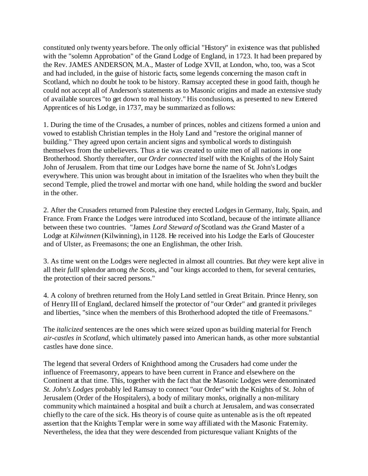constituted only twenty years before. The only official "History" in existence was that published with the "solemn Approbation" of the Grand Lodge of England, in 1723. It had been prepared by the Rev. JAMES ANDERSON, M.A., Master of Lodge XVII, at London, who, too, was a Scot and had included, in the guise of historic facts, some legends concerning the mason craft in Scotland, which no doubt he took to be history. Ramsay accepted these in good faith, though he could not accept all of Anderson's statements as to Masonic origins and made an extensive study of available sources "to get down to real history." His conclusions, as presented to new Entered Apprentices of his Lodge, in 1737, may be summarized as follows:

1. During the time of the Crusades, a number of princes, nobles and citizens formed a union and vowed to establish Christian temples in the Holy Land and "restore the original manner of building." They agreed upon certain ancient signs and symbolical words to distinguish themselves from the unbelievers. Thus a tie was created to unite men of all nations in one Brotherhood. Shortly thereafter, our *Order connected* itself with the Knights of the Holy Saint John of Jerusalem. From that time our Lodges have borne the name of St. John's Lodges everywhere. This union was brought about in imitation of the Israelites who when they built the second Temple, plied the trowel and mortar with one hand, while holding the sword and buckler in the other.

2. After the Crusaders returned from Palestine they erected Lodges in Germany, Italy, Spain, and France. From France the Lodges were introduced into Scotland, because of the intimate alliance between these two countries. "James *Lord Steward of* Scotland was *the* Grand Master of a Lodge at *Kilwinnen* (Kilwinning), in 1128. He received into his Lodge the Earls of Gloucester and of Ulster, as Freemasons; the one an Englishman, the other Irish.

3. As time went on the Lodges were neglected in almost all countries. But *they* were kept alive in all their *fulll* splendor among *the Scots,* and "our kings accorded to them, for several centuries, the protection of their sacred persons."

4. A colony of brethren returned from the Holy Land settled in Great Britain. Prince Henry, son of Henry III of England, declared himself the protector of "our Order" and granted it privileges and liberties, "since when the members of this Brotherhood adopted the title of Freemasons."

The *italicized* sentences are the ones which were seized upon as building material for French *air-castles in Scotland,* which ultimately passed into American hands, as other more substantial castles have done since.

The legend that several Orders of Knighthood among the Crusaders had come under the influence of Freemasonry, appears to have been current in France and elsewhere on the Continent at that time. This, together with the fact that the Masonic Lodges were denominated *St. John's Lodges* probably led Ramsay to connect "our Order" with the Knights of St. John of Jerusalem (Order of the Hospitalers), a body of military monks, originally a non-military community which maintained a hospital and built a church at Jerusalem, and was consecrated chiefly to the care of the sick. His theory is of course quite as untenable as is the oft repeated assertion that the Knights Templar were in some way affiliated with the Masonic Fraternity. Nevertheless, the idea that they were descended from picturesque valiant Knights of the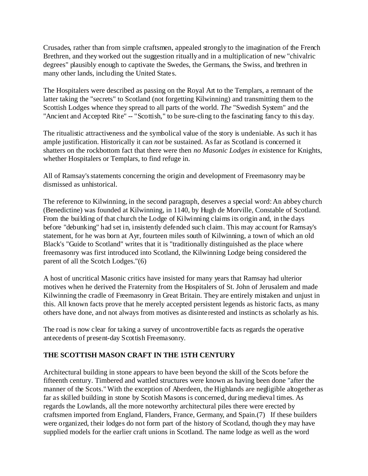Crusades, rather than from simple craftsmen, appealed strongly to the imagination of the French Brethren, and they worked out the suggestion ritually and in a multiplication of new "chivalric degrees" plausibly enough to captivate the Swedes, the Germans, the Swiss, and brethren in many other lands, including the United States.

The Hospitalers were described as passing on the Royal Art to the Templars, a remnant of the latter taking the "secrets" to Scotland (not forgetting Kilwinning) and transmitting them to the Scottish Lodges whence they spread to all parts of the world. *The* "Swedish System" and the "Ancient and Accepted Rite" -- "Scottish," to be sure-cling to the fascinating fancy to this day.

The ritualistic attractiveness and the symbolical value of the story is undeniable. As such it has ample justification. Historically it can *not* be sustained. As far as Scotland is concerned it shatters on the rockbottom fact that there were then *no Masonic Lodges in* existence for Knights, whether Hospitalers or Templars, to find refuge in.

All of Ramsay's statements concerning the origin and development of Freemasonry may be dismissed as unhistorical.

The reference to Kilwinning, in the second paragraph, deserves a special word: An abbey church (Benedictine) was founded at Kilwinning, in 1140, by Hugh de Morville, Constable of Scotland. From the building of that church the Lodge of Kilwinning claims its origin and, in the days before "debunking" had set in, insistently defended such claim. This may account for Ramsay's statement, for he was born at Ayr, fourteen miles south of Kilwinning, a town of which an old Black's "Guide to Scotland" writes that it is "traditionally distinguished as the place where freemasonry was first introduced into Scotland, the Kilwinning Lodge being considered the parent of all the Scotch Lodges."(6)

A host of uncritical Masonic critics have insisted for many years that Ramsay had ulterior motives when he derived the Fraternity from the Hospitalers of St. John of Jerusalem and made Kilwinning the cradle of Freemasonry in Great Britain. They are entirely mistaken and unjust in this. All known facts prove that he merely accepted persistent legends as historic facts, as many others have done, and not always from motives as disinterested and instincts as scholarly as his.

The road is now clear for taking a survey of uncontrovertible facts as regards the operative antecedents of present-day Scottish Freemasonry.

# **THE SCOTTISH MASON CRAFT IN THE 15TH CENTURY**

Architectural building in stone appears to have been beyond the skill of the Scots before the fifteenth century. Timbered and wattled structures were known as having been done "after the manner of the Scots." With the exception of Aberdeen, the Highlands are negligible altogether as far as skilled building in stone by Scotish Masons is concerned, during medieval times. As regards the Lowlands, all the more noteworthy architectural piles there were erected by craftsmen imported from England, Flanders, France, Germany, and Spain.(7) If these builders were organized, their lodges do not form part of the history of Scotland, though they may have supplied models for the earlier craft unions in Scotland. The name lodge as well as the word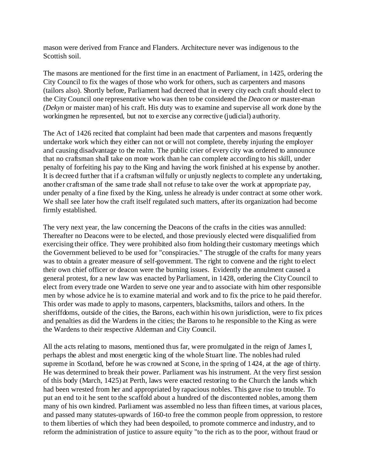mason were derived from France and Flanders. Architecture never was indigenous to the Scottish soil.

The masons are mentioned for the first time in an enactment of Parliament, in 1425, ordering the City Council to fix the wages of those who work for others, such as carpenters and masons (tailors also). Shortly before, Parliament had decreed that in every city each craft should elect to the City Council one representative who was then to be considered the *Deacon or* master-man *(Dekyn* or maister man) of his craft. His duty was to examine and supervise all work done by the workingmen he represented, but not to exercise any corrective (judicial) authority.

The Act of 1426 recited that complaint had been made that carpenters and masons frequently undertake work which they either can not or will not complete, thereby injuring the employer and causing disadvantage to the realm. The public crier of every city was ordered to announce that no craftsman shall take on more work than he can complete according to his skill, under penalty of forfeiting his pay to the King and having the work finished at his expense by another. It is decreed further that if a craftsman wilfully or unjustly neglects to complete any undertaking, another craftsman of the same trade shall not refuse to take over the work at appropriate pay, under penalty of a fine fixed by the King, unless he already is under contract at some other work. We shall see later how the craft itself regulated such matters, after its organization had become firmly established.

The very next year, the law concerning the Deacons of the crafts in the cities was annulled: Thereafter no Deacons were to be elected, and those previously elected were disqualified from exercising their office. They were prohibited also from holding their customary meetings which the Government believed to be used for "conspiracies." The struggle of the crafts for many years was to obtain a greater measure of self-government. The right to convene and the right to elect their own chief officer or deacon were the burning issues. Evidently the annulment caused a general protest, for a new law was enacted by Parliament, in 1428, ordering the City Council to elect from every trade one Warden to serve one year and to associate with him other responsible men by whose advice he is to examine material and work and to fix the price to he paid therefor. This order was made to apply to masons, carpenters, blacksmiths, tailors and others. In the sheriffdoms, outside of the cities, the Barons, each within his own jurisdiction, were to fix prices and penalties as did the Wardens in the cities; the Barons to he responsible to the King as were the Wardens to their respective Alderman and City Council.

All the acts relating to masons, mentioned thus far, were promulgated in the reign of James I, perhaps the ablest and most energetic king of the whole Stuart line. The nobles had ruled supreme in Scotland, before he was crowned at Scone, in the spring of 1424, at the age of thirty. He was determined to break their power. Parliament was his instrument. At the very first session of this body (March, 1425) at Perth, laws were enacted restoring to the Church the lands which had been wrested from her and appropriated by rapacious nobles. This gave rise to trouble. To put an end to it he sent to the scaffold about a hundred of the discontented nobles, among them many of his own kindred. Parliament was assembled no less than fifteen times, at various places, and passed many statutes-upwards of 160-to free the common people from oppression, to restore to them liberties of which they had been despoiled, to promote commerce and industry, and to reform the administration of justice to assure equity "to the rich as to the poor, without fraud or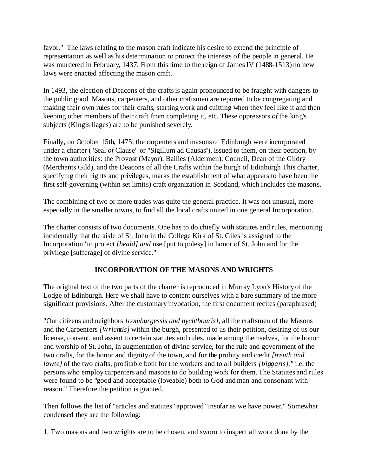favor." The laws relating to the mason craft indicate his desire to extend the principle of representation as well as his determination to protect the interests of the people in general. He was murdered in February, 1437. From this time to the reign of James IV (1488-1513) no new laws were enacted affecting the mason craft.

In 1493, the election of Deacons of the crafts is again pronounced to be fraught with dangers to the public good. Masons, carpenters, and other craftsmen are reported to be congregating and making their own rules for their crafts, starting work and quitting when they feel like it and then keeping other members of their craft from completing it, etc. These oppressors *of* the king's subjects (Kingis liages) are to be punished severely.

Finally, on October 15th, 1475, the carpenters and masons of Edinburgh were incorporated under a charter ("Seal *of* Clause" or "Sigillum ad Causas"), issued to them, on their petition, by the town authorities: the Provost (Mayor), Bailies (Aldermen), Council, Dean of the Gildry (Merchants Gild), and the Deacons of all the Crafts within the burgh of Edinburgh This charter, specifying their rights and privileges, marks the establishment of what appears to have been the first self-governing (within set limits) craft organization in Scotland, which includes the masons.

The combining of two or more trades was quite the general practice. It was not unusual, more especially in the smaller towns, to find all the local crafts united in one general Incorporation.

The charter consists of two documents. One has to do chiefly with statutes and rules, mentioning incidentally that the aisle of St. John in the College Kirk of St. Giles is assigned to the Incorporation "to protect *[beald] and* use [put to polesy] in honor of St. John and for the privilege [sufferage] of divine service."

# **INCORPORATION OF THE MASONS AND WRIGHTS**

The original text of the two parts of the charter is reproduced in Murray Lyon's History of the Lodge of Edinburgh. Here we shall have to content ourselves with a bare summary of the more significant provisions. After the customary invocation, the first document recites (paraphrased)

"Our citizens and neighbors *[comburgessis and nychtbouris],* all the craftsmen of the Masons and the Carpenters *[Wrichtis]* within the burgh, presented to us their petition, desiring of us our license, consent, and assent to certain statutes and rules, made among themselves, for the honor and worship of St. John, in augmentation of divine service, for the rule and government of the two crafts, for the honor and dignity of the town, and for the probity and credit *[treuth and lawte]* of the two crafts, profitable both for the workers and to all builders *[biggaris],"* i.e. the persons who employ carpenters and masons to do building work for them. The Statutes and rules were found to be "good and acceptable (loveable) both to God and man and consonant with reason." Therefore the petition is granted.

Then follows the list of "articles and statutes" approved "insofar as we have power." Somewhat condensed they are the following:

1. Two masons and two wrights are to be chosen, and sworn to inspect all work done by the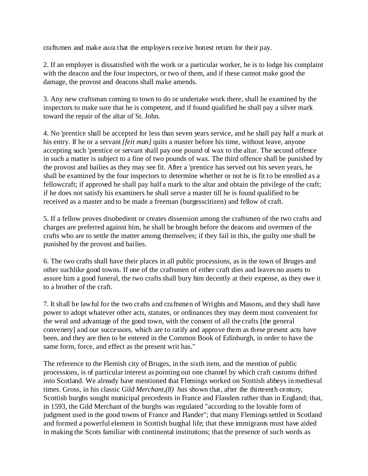craftsmen and make aura that the employers receive honest return for their pay.

2. If an employer is dissatisfied with the work or a particular worker, he is to lodge his complaint with the deacon and the four inspectors, or two of them, and if these cannot make good the damage, the provost and deacons shall make amends.

3. Any new craftsman coming to town to do or undertake work there, shall be examined by the inspectors to make sure that he is competent, and if found qualified he shall pay a silver mark toward the repair of the altar of St. John.

4. No 'prentice shall be accepted for less than seven years service, and he shall pay half a mark at his entry. If he or a servant *[feit man]* quits a master before his time, without leave, anyone accepting such 'prentice or servant shall pay one pound of wax to the altar. The second offence in such a matter is subject to a fine of two pounds of wax. The third offence shall be punished by the provost and bailies as they may see fit. After a 'prentice has served out his seven years, he shall be examined by the four inspectors to determine whether or not he is fit to be enrolled as a fellowcraft; if approved he shall pay half a mark to the altar and obtain the privilege of the craft; if he does not satisfy his examiners he shall serve a master till he is found qualified to be received as a master and to be made a freeman (burgesscitizen) and fellow of craft.

5. If a fellow proves disobedient or creates dissension among the craftsmen of the two crafts and charges are preferred against him, he shall be brought before the deacons and overmen of the crafts who are to settle the matter among themselves; if they fail in this, the guilty one shall be punished by the provost and bailies.

6. The two crafts shall have their places in all public processions, as in the town of Bruges and other suchlike good towns. If one of the craftsmen of either craft dies and leaves no assets to assure him a good funeral, the two crafts shall bury him decently at their expense, as they owe it to a brother of the craft.

7. It shall be lawful for the two crafts and craftsmen of Wrights and Masons, and they shall have power to adopt whatever other acts, statutes, or ordinances they may deem most convenient for the weal and advantage of the good town, with the consent of all the crafts [the general convenery] and our successors, which are to ratify and approve them as these present acts have been, and they are then to be entered in the Common Book of Edinburgh, in order to have the same form, force, and effect as the present writ has."

The reference to the Flemish city of Bruges, in the sixth item, and the mention of public processions, is of particular interest as pointing out one channel by which craft customs drifted into Scotland. We already have mentioned that Flemings worked on Scottish abbeys in medieval times. Gross, in his classic Gild *Merchant,(8) has* shown that, after the thirteenth century, Scottish burghs sought municipal precedents in France and Flanders rather than in England; that, in 1593, the Gild Merchant of the burghs was regulated "according to the lovable form of judgment used in the good towns of France and Flander"; that many Flemings settled in Scotland and formed a powerful element in Scottish burghal life; that these immigrants must have aided in making the Scots familiar with continental institutions; that the presence of such words as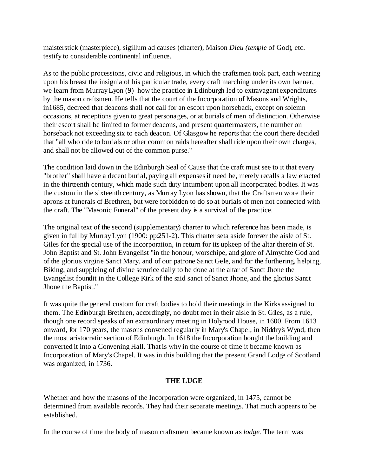maisterstick (masterpiece), sigillum ad causes (charter), Maison *Dieu (temple* of God), etc. testify to considerable continental influence.

As to the public processions, civic and religious, in which the craftsmen took part, each wearing upon his breast the insignia of his particular trade, every craft marching under its own banner, we learn from Murray Lyon (9) how the practice in Edinburgh led to extravagant expenditures by the mason craftsmen. He tells that the court of the Incorporation of Masons and Wrights, in1685, decreed that deacons shall not call for an escort upon horseback, except on solemn occasions, at receptions given to great personages, or at burials of men of distinction. Otherwise their escort shall be limited to former deacons, and present quartermasters, the number on horseback not exceeding six to each deacon. Of Glasgow he reports that the court there decided that "all who ride to burials or other common raids hereafter shall ride upon their own charges, and shall not be allowed out of the common purse."

The condition laid down in the Edinburgh Seal of Cause that the craft must see to it that every "brother" shall have a decent burial, paying all expenses if need be, merely recalls a law enacted in the thirteenth century, which made such duty incumbent upon all incorporated bodies. It was the custom in the sixteenth century, as Murray Lyon has shown, that the Craftsmen wore their aprons at funerals of Brethren, but were forbidden to do so at burials of men not connected with the craft. The "Masonic Funeral" of the present day is a survival of the practice.

The original text of the second (supplementary) charter to which reference has been made, is given in full by Murray Lyon (1900: pp: 251-2). This charter seta aside forever the aisle of St. Giles for the special use of the incorporation, in return for its upkeep of the altar therein of St. John Baptist and St. John Evangelist "in the honour, worschipe, and glore of Almychte God and of the glorius virgine Sanct Mary, and of our patrone Sanct Gele, and for the furthering, helping, Biking, and suppleing of divine serurice daily to be done at the altar of Sanct Jhone the Evangelist foundit in the College Kirk of the said sanct of Sanct Jhone, and the glorius Sanct Jhone the Baptist."

It was quite the general custom for craft bodies to hold their meetings in the Kirks assigned to them. The Edinburgh Brethren, accordingly, no doubt met in their aisle in St. Giles, as a rule, though one record speaks of an extraordinary meeting in Holyrood House, in 1600. From 1613 onward, for 170 years, the masons convened regularly in Mary's Chapel, in Niddry's Wynd, then the most aristocratic section of Edinburgh. In 1618 the Incorporation bought the building and converted it into a Convening Hall. That is why in the course of time it became known as Incorporation of Mary's Chapel. It was in this building that the present Grand Lodge of Scotland was organized, in 1736.

### **THE LUGE**

Whether and how the masons of the Incorporation were organized, in 1475, cannot be determined from available records. They had their separate meetings. That much appears to be established.

In the course of time the body of mason craftsmen became known as *lodge.* The term was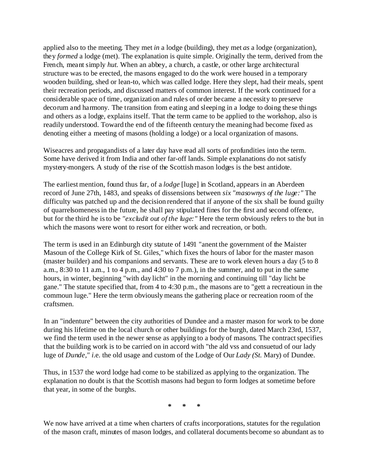applied also to the meeting. They met *in* a lodge (building), they met *as* a lodge (organization), they *formed* a lodge (met). The explanation is quite simple. Originally the term, derived from the French, meant simply *hut*. When an abbey, a church, a castle, or other large architectural structure was to be erected, the masons engaged to do the work were housed in a temporary wooden building, shed or lean-to, which was called lodge. Here they slept, had their meals, spent their recreation periods, and discussed matters of common interest. If the work continued for a considerable space of time, organization and rules of order became a necessity to preserve decorum and harmony. The transition from eating and sleeping in a lodge to doing these things and others as a lodge, explains itself. That the term came to be applied to the workshop, also is readily understood. Toward the end of the fifteenth century the meaning had become fixed as denoting either a meeting of masons (holding a lodge) or a local organization of masons.

Wiseacres and propagandists of a later day have read all sorts of profundities into the term. Some have derived it from India and other far-off lands. Simple explanations do not satisfy mystery-mongers. A study of the rise of the Scottish mason lodges is the best antidote.

The earliest mention, found thus far, of a *lodge* [luge] in Scotland, appears in an Aberdeen record of June 27th, 1483, and speaks of dissensions between *six "masownys of the luge:"* The difficulty was patched up and the decision rendered that if anyone of the six shall be found guilty of quarrelsomeness in the future, he shall pay stipulated fines for the first and second offence, but for the third he is to be *"excludit out of the luge:"* Here the term obviously refers to the but in which the masons were wont to resort for either work and recreation, or both.

The term is used in an Edinburgh city statute of 1491 "anent the government of the Maister Masoun of the College Kirk of St. Giles," which fixes the hours of labor for the master mason (master builder) and his companions and servants. These are to work eleven hours a day (5 to 8 a.m.,  $8:30$  to 11 a.m., 1 to 4 p.m., and  $4:30$  to 7 p.m.), in the summer, and to put in the same hours, in winter, beginning "with day licht" in the morning and continuing till "day licht be gane." The statute specified that, from 4 to 4:30 p.m., the masons are to "gett a recreatioun in the commoun luge." Here the term obviously means the gathering place or recreation room of the craftsmen.

In an "indenture" between the city authorities of Dundee and a master mason for work to be done during his lifetime on the local church or other buildings for the burgh, dated March 23rd, 1537, we find the term used in the newer sense as applying to a body of masons. The contract specifies that the building work is to be carried on in accord with "the ald vss and consuetud of our lady luge of *Dunde," i*.e. the old usage and custom of the Lodge of Our *Lady (St*. Mary) of Dundee.

Thus, in 1537 the word lodge had come to be stabilized as applying to the organization. The explanation no doubt is that the Scottish masons had begun to form lodges at sometime before that year, in some of the burghs.

**\* \* \***

We now have arrived at a time when charters of crafts incorporations, statutes for the regulation of the mason craft, minutes of mason lodges, and collateral documents become so abundant as to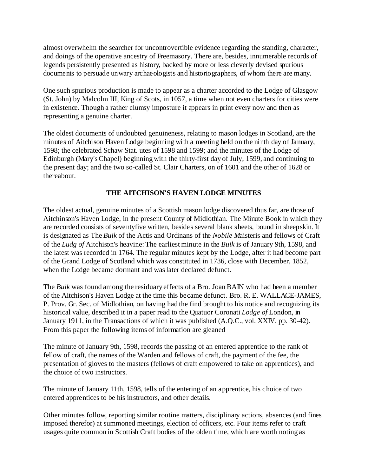almost overwhelm the searcher for uncontrovertible evidence regarding the standing, character, and doings of the operative ancestry of Freemasory. There are, besides, innumerable records of legends persistently presented as history, backed by more or less cleverly devised spurious documents to persuade unwary archaeologists and historiographers, of whom there are many.

One such spurious production is made to appear as a charter accorded to the Lodge of Glasgow (St. John) by Malcolm III, King of Scots, in 1057, a time when not even charters for cities were in existence. Though a rather clumsy imposture it appears in print every now and then as representing a genuine charter.

The oldest documents of undoubted genuineness, relating to mason lodges in Scotland, are the minutes of Aitchison Haven Lodge beginning with a meeting held on the ninth day of January, 1598; the celebrated Schaw Stat. utes of 1598 and 1599; and the minutes of the Lodge of Edinburgh (Mary's Chapel) beginning with the thirty-first day of July, 1599, and continuing to the present day; and the two so-called St. Clair Charters, on of 1601 and the other of 1628 or thereabout.

### **THE AITCHISON'S HAVEN LODGE MINUTES**

The oldest actual, genuine minutes of a Scottish mason lodge discovered thus far, are those of Aitchinson's Haven Lodge, in the present County of Midlothian. The Minute Book in which they are recorded consists of seventyfive written, besides several blank sheets, bound in sheepskin. It is designated as The *Buik* of the Actis and Ordinans of the *Nobile M*aisteris and fellows of Craft of the *Ludg of* Aitchison's heavine: The earliest minute in the *Buik* is of January 9th, 1598, and the latest was recorded in 1764. The regular minutes kept by the Lodge, after it had become part of the Grand Lodge of Scotland which was constituted in 1736, close with December, 1852, when the Lodge became dormant and was later declared defunct.

The *Buik* was found among the residuary effects of a Bro. Joan BAIN who had been a member of the Aitchison's Haven Lodge at the time this became defunct. Bro. R. E. WALLACE-JAMES, P. Prov. Gr. Sec. of Midlothian, on having had the find brought to his notice and recognizing its historical value, described it in a paper read to the Quatuor Coronati *Lodge of* London, in January 1911, in the Transactions of which it was published (A.Q.C., vol. XXIV, pp. 30-42). From this paper the following items of information are gleaned

The minute of January 9th, 1598, records the passing of an entered apprentice to the rank of fellow of craft, the names of the Warden and fellows of craft, the payment of the fee, the presentation of gloves to the masters (fellows of craft empowered to take on apprentices), and the choice of two instructors.

The minute of January 11th, 1598, tells of the entering of an apprentice, his choice of two entered apprentices to be his instructors, and other details.

Other minutes follow, reporting similar routine matters, disciplinary actions, absences (and fines imposed therefor) at summoned meetings, election of officers, etc. Four items refer to craft usages quite common in Scottish Craft bodies of the olden time, which are worth noting as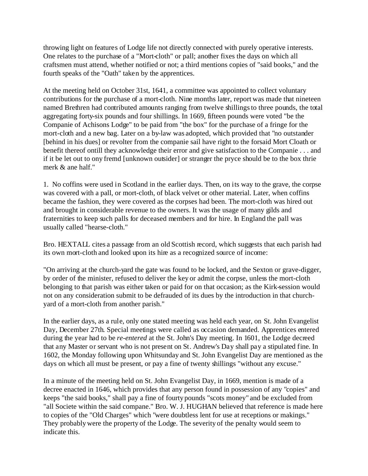throwing light on features of Lodge life not directly connected with purely operative interests. One relates to the purchase of a "Mort-cloth" or pall; another fixes the days on which all craftsmen must attend, whether notified or not; a third mentions copies of "said books," and the fourth speaks of the "Oath" taken by the apprentices.

At the meeting held on October 31st, 1641, a committee was appointed to collect voluntary contributions for the purchase of a mort-cloth. Nine months later, report was made that nineteen named Brethren had contributed amounts ranging from twelve shillings to three pounds, the total aggregating forty-six pounds and four shillings. In 1669, fifteen pounds were voted "be the Companie of Achisons Lodge" to be paid from "the box" for the purchase of a fringe for the mort-cloth and a new bag. Later on a by-law was adopted, which provided that "no outstander [behind in his dues] or revolter from the companie sail have right to the forsaid Mort Cloath or benefit thereof ontill they acknowledge their error and give satisfaction to the Companie . . . and if it be let out to ony fremd [unknown outsider] or stranger the pryce should be to the box thrie merk & ane half."

1. No coffins were used in Scotland in the earlier days. Then, on its way to the grave, the corpse was covered with a pall, or mort-cloth, of black velvet or other material. Later, when coffins became the fashion, they were covered as the corpses had been. The mort-cloth was hired out and brought in considerable revenue to the owners. It was the usage of many gilds and fraternities to keep such palls for deceased members and for hire. In England the pall was usually called "hearse-cloth."

Bro. HEXTALL cites a passage from an old Scottish record, which suggests that each parish had its own mort-cloth and looked upon its hire as a recognized source of income:

"On arriving at the church-yard the gate was found to be locked, and the Sexton or grave-digger, by order of the minister, refused to deliver the key or admit the corpse, unless the mort-cloth belonging to that parish was either taken or paid for on that occasion; as the Kirk-session would not on any consideration submit to be defrauded of its dues by the introduction in that churchyard of a mort-cloth from another parish."

In the earlier days, as a rule, only one stated meeting was held each year, on St. John Evangelist Day, December 27th. Special meetings were called as occasion demanded. Apprentices entered during the year had to be *re-entered* at the St. John's Day meeting. In 1601, the Lodge decreed that any Master or servant who is not present on St. Andrew's Day shall pay a stipulated fine. In 1602, the Monday following upon Whitsunday and St. John Evangelist Day are mentioned as the days on which all must be present, or pay a fine of twenty shillings "without any excuse."

In a minute of the meeting held on St. John Evangelist Day, in 1669, mention is made of a decree enacted in 1646, which provides that any person found in possession of any "copies" and keeps "the said books," shall pay a fine of fourty pounds "scots money" and be excluded from "all Societe within the said compane." Bro. W. J. HUGHAN believed that reference is made here to copies of the "Old Charges" which "were doubtless lent for use at receptions or makings." They probably were the property of the Lodge. The severity of the penalty would seem to indicate this.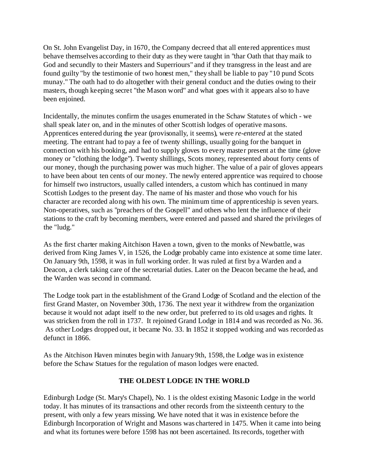On St. John Evangelist Day, in 1670, the Company decreed that all entered apprentices must behave themselves according to their duty as they were taught in "thar Oath that thay maik to God and secundly to their Masters and Superriours" and if they transgress in the least and are found guilty "by the testimonie of two honest men," they shall be liable to pay "10 pund Scots munay." The oath had to do altogether with their general conduct and the duties owing to their masters, though keeping secret "the Mason word" and what goes with it appears also to have been enjoined.

Incidentally, the minutes confirm the usages enumerated in the Schaw Statutes of which - we shall speak later on, and in the minutes of other Scottish lodges of operative masons. Apprentices entered during the year (provisonally, it seems), were *re-entered* at the stated meeting. The entrant had to pay a fee of twenty shillings, usually going for the banquet in connection with his booking, and had to supply gloves to every master present at the time (glove money or "clothing the lodge"). Twenty shillings, Scots money, represented about forty cents of our money, though the purchasing power was much higher. The value of a pair of gloves appears to have been about ten cents of our money. The newly entered apprentice was required to choose for himself two instructors, usually called intenders, a custom which has continued in many Scottish Lodges to the present day. The name of his master and those who vouch for his character are recorded along with his own. The minimum time of apprenticeship is seven years. Non-operatives, such as "preachers of the Gospell" and others who lent the influence of their stations to the craft by becoming members, were entered and passed and shared the privileges of the "ludg."

As the first charter making Aitchison Haven a town, given to the monks of Newbattle, was derived from King James V, in 1526, the Lodge probably came into existence at some time later. On January 9th, 1598, it was in full working order. It was ruled at first by a Warden and a Deacon, a clerk taking care of the secretarial duties. Later on the Deacon became the head, and the Warden was second in command.

The Lodge took part in the establishment of the Grand Lodge of Scotland and the election of the first Grand Master, on November 30th, 1736. The next year it withdrew from the organization because it would not adapt itself to the new order, but preferred to its old usages and rights. It was stricken from the roll in 1737. It rejoined Grand Lodge in 1814 and was recorded as No. 36. As other Lodges dropped out, it became No. 33. In 1852 it stopped working and was recorded as defunct in 1866.

As the Aitchison Haven minutes begin with January 9th, 1598, the Lodge was in existence before the Schaw Statues for the regulation of mason lodges were enacted.

# **THE OLDEST LODGE IN THE WORLD**

Edinburgh Lodge (St. Mary's Chapel), No. 1 is the oldest existing Masonic Lodge in the world today. It has minutes of its transactions and other records from the sixteenth century to the present, with only a few years missing. We have noted that it was in existence before the Edinburgh Incorporation of Wright and Masons was chartered in 1475. When it came into being and what its fortunes were before 1598 has not been ascertained. Its records, together with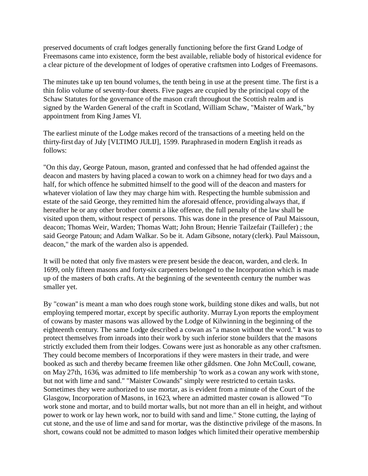preserved documents of craft lodges generally functioning before the first Grand Lodge of Freemasons came into existence, form the best available, reliable body of historical evidence for a clear picture of the development of lodges of operative craftsmen into Lodges of Freemasons.

The minutes take up ten bound volumes, the tenth being in use at the present time. The first is a thin folio volume of seventy-four sheets. Five pages are ccupied by the principal copy of the Schaw Statutes for the governance of the mason craft throughout the Scottish realm and is signed by the Warden General of the craft in Scotland, William Schaw, "Maister of Wark," by appointment from King James VI.

The earliest minute of the Lodge makes record of the transactions of a meeting held on the thirty-first day of July [VLTIMO JULIJ], 1599. Paraphrased in modern English it reads as follows:

"On this day, George Patoun, mason, granted and confessed that he had offended against the deacon and masters by having placed a cowan to work on a chimney head for two days and a half, for which offence he submitted himself to the good will of the deacon and masters for whatever violation of law they may charge him with. Respecting the humble submission and estate of the said George, they remitted him the aforesaid offence, providing always that, if hereafter he or any other brother commit a like offence, the full penalty of the law shall be visited upon them, without respect of persons. This was done in the presence of Paul Maissoun, deacon; Thomas Weir, Warden; Thomas Watt; John Broun; Henrie Tailzefair (Taillefer) ; the said George Patoun; and Adam Walkar. So be it. Adam Gibsone, notary (clerk). Paul Maissoun, deacon," the mark of the warden also is appended.

It will be noted that only five masters were present beside the deacon, warden, and clerk. In 1699, only fifteen masons and forty-six carpenters belonged to the Incorporation which is made up of the masters of both crafts. At the beginning of the seventeenth century the number was smaller yet.

By "cowan" is meant a man who does rough stone work, building stone dikes and walls, but not employing tempered mortar, except by specific authority. Murray Lyon reports the employment of cowans by master masons was allowed by the Lodge of Kilwinning in the beginning of the eighteenth century. The same Lodge described a cowan as "a mason without the word." It was to protect themselves from inroads into their work by such inferior stone builders that the masons strictly excluded them from their lodges. Cowans were just as honorable as any other craftsmen. They could become members of Incorporations if they were masters in their trade, and were booked as such and thereby became freemen like other gildsmen. One John McCoull, cowane, on May 27th, 1636, was admitted to life membership "to work as a cowan any work with stone, but not with lime and sand." "Maister Cowands" simply were restricted to certain tasks. Sometimes they were authorized to use mortar, as is evident from a minute of the Court of the Glasgow, Incorporation of Masons, in 1623, where an admitted master cowan is allowed "To work stone and mortar, and to build mortar walls, but not more than an ell in height, and without power to work or lay hewn work, nor to build with sand and lime." Stone cutting, the laying of cut stone, and the use of lime and sand for mortar, was the distinctive privilege of the masons. In short, cowans could not be admitted to mason lodges which limited their operative membership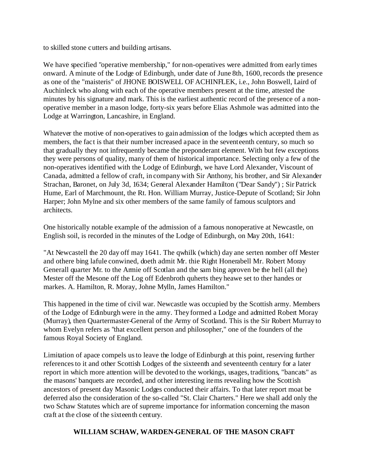to skilled stone cutters and building artisans.

We have specified "operative membership," for non-operatives were admitted from early times onward. A minute of the Lodge of Edinburgh, under date of June 8th, 1600, records the presence as one of the "maisteris" of JHONE BOISWELL OF ACHINFLEK, i.e., John Boswell, Laird of Auchinleck who along with each of the operative members present at the time, attested the minutes by his signature and mark. This is the earliest authentic record of the presence of a nonoperative member in a mason lodge, forty-six years before Elias Ashmole was admitted into the Lodge at Warrington, Lancashire, in England.

Whatever the motive of non-operatives to gain admission of the lodges which accepted them as members, the fact is that their number increased apace in the seventeenth century, so much so that gradually they not infrequently became the preponderant element. With but few exceptions they were persons of quality, many of them of historical importance. Selecting only a few of the non-operatives identified with the Lodge of Edinburgh, we have Lord Alexander, Viscount of Canada, admitted a fellow of craft, in company with Sir Anthony, his brother, and Sir Alexander Strachan, Baronet, on July 3d, 1634; General Alexander Hamilton ("Dear Sandy") ; Sir Patrick Hume, Earl of Marchmount, the Rt. Hon. William Murray, Justice-Depute of Scotland; Sir John Harper; John Mylne and six other members of the same family of famous sculptors and architects.

One historically notable example of the admission of a famous nonoperative at Newcastle, on English soil, is recorded in the minutes of the Lodge of Edinburgh, on May 20th, 1641:

"At Newcastell the 20 day off may 1641. The qwhilk (which) day ane serten nomber off Mester and othere bing lafule conwined, doeth admit Mr. thie Right Honerabell Mr. Robert Moray Generall quarter Mr. to the Armie off Scotlan and the sam bing aproven be the hell (all the) Mester off the Mesone off the Log off Edenbroth quherts they heawe set to ther handes or markes. A. Hamilton, R. Moray, Johne Mylln, James Hamilton."

This happened in the time of civil war. Newcastle was occupied by the Scottish army. Members of the Lodge of Edinburgh were in the army. They formed a Lodge and admitted Robert Moray (Murray), then Quartermaster-General of the Army of Scotland. This is the Sir Robert Murray to whom Evelyn refers as "that excellent person and philosopher," one of the founders of the famous Royal Society of England.

Limitation of apace compels us to leave the lodge of Edinburgh at this point, reserving further references to it and other Scottish Lodges of the sixteenth and seventeenth century for a later report in which more attention will be devoted to the workings, usages, traditions, "bancats" as the masons' banquets are recorded, and other interesting items revealing how the Scottish ancestors of present day Masonic Lodges conducted their affairs. To that later report moat be deferred also the consideration of the so-called "St. Clair Charters." Here we shall add only the two Schaw Statutes which are of supreme importance for information concerning the mason craft at the close of the sixteenth century.

# **WILLIAM SCHAW, WARDEN-GENERAL OF THE MASON CRAFT**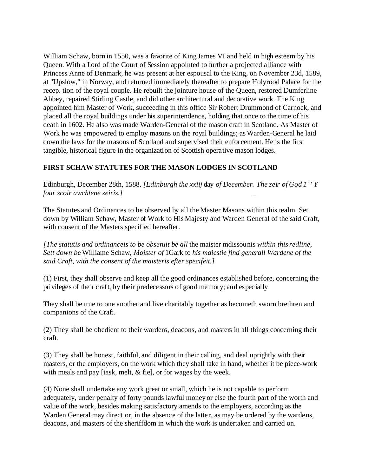William Schaw, born in 1550, was a favorite of King James VI and held in high esteem by his Queen. With a Lord of the Court of Session appointed to further a projected alliance with Princess Anne of Denmark, he was present at her espousal to the King, on November 23d, 1589, at "Upslow," in Norway, and returned immediately thereafter to prepare Holyrood Palace for the recep. tion of the royal couple. He rebuilt the jointure house of the Queen, restored Dumferline Abbey, repaired Stirling Castle, and did other architectural and decorative work. The King appointed him Master of Work, succeeding in this office Sir Robert Drummond of Carnock, and placed all the royal buildings under his superintendence, holding that once to the time of his death in 1602. He also was made Warden-General of the mason craft in Scotland. As Master of Work he was empowered to employ masons on the royal buildings; as Warden-General he laid down the laws for the masons of Scotland and supervised their enforcement. He is the first tangible, historical figure in the organization of Scottish operative mason lodges.

### **FIRST SCHAW STATUTES FOR THE MASON LODGES IN SCOTLAND**

Edinburgh, December 28th, 1588. *[Edinburgh the xxiij* day *of December. The zeir of God 1'" Y four scoir awchtene zeiris.] \_*

The Statutes and Ordinances to be observed by all the Master Masons within this realm. Set down by William Schaw, Master of Work to His Majesty and Warden General of the said Craft, with consent of the Masters specified hereafter.

*[The statutis and ordinanceis to be obseruit be all* the maister mdissounis *within this redline, Sett down be* Williame Schaw, *Moister of* 1Gark to *his maiestie find generall Wardene of the said Craft, with the consent of the maisteris efter specifeit.]*

(1) First, they shall observe and keep all the good ordinances established before, concerning the privileges of their craft, by their predecessors of good memory; and especially

They shall be true to one another and live charitably together as becometh sworn brethren and companions of the Craft.

(2) They shall be obedient to their wardens, deacons, and masters in all things concerning their craft.

(3) They shall be honest, faithful, and diligent in their calling, and deal uprightly with their masters, or the employers, on the work which they shall take in hand, whether it be piece-work with meals and pay [task, melt, & fie], or for wages by the week.

(4) None shall undertake any work great or small, which he is not capable to perform adequately, under penalty of forty pounds lawful money or else the fourth part of the worth and value of the work, besides making satisfactory amends to the employers, according as the Warden General may direct or, in the absence of the latter, as may be ordered by the wardens, deacons, and masters of the sheriffdom in which the work is undertaken and carried on.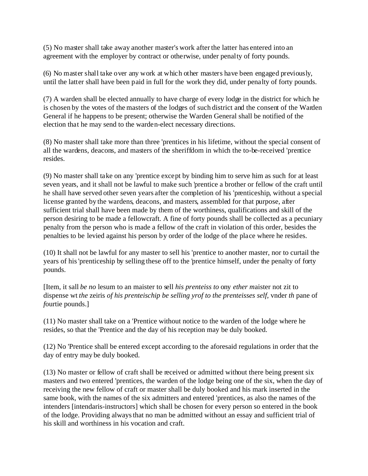(5) No master shall take away another master's work after the latter has entered into an agreement with the employer by contract or otherwise, under penalty of forty pounds.

(6) No master shall take over any work at which other masters have been engaged previously, until the latter shall have been paid in full for the work they did, under penalty of forty pounds.

(7) A warden shall be elected annually to have charge of every lodge in the district for which he is chosen by the votes of the masters of the lodges of such district and the consent of the Warden General if he happens to be present; otherwise the Warden General shall be notified of the election that he may send to the warden-elect necessary directions.

(8) No master shall take more than three 'prentices in his lifetime, without the special consent of all the wardens, deacons, and masters of the sheriffdom in which the to-be-received 'prentice resides.

(9) No master shall take on any 'prentice except by binding him to serve him as such for at least seven years, and it shall not be lawful to make such 'prentice a brother or fellow of the craft until he shall have served other seven years after the completion of his 'prenticeship, without a special license granted by the wardens, deacons, and masters, assembled for that purpose, after sufficient trial shall have been made by them of the worthiness, qualifications and skill of the person desiring to be made a fellowcraft. A fine of forty pounds shall be collected as a pecuniary penalty from the person who is made a fellow of the craft in violation of this order, besides the penalties to be levied against his person by order of the lodge of the place where he resides.

(10) It shall not be lawful for any master to sell his 'prentice to another master, nor to curtail the years of his 'prenticeship by selling these off to the 'prentice himself, under the penalty of forty pounds.

[Item, it sall *be no* lesum to an maister to sell *his prenteiss to* ony *ether m*aister not zit to dispense wt *the* zeiris *of his prenteischip be selling yrof to the prenteisses self,* vnder *th* pane of *f*ourtie pounds.]

(11) No master shall take on a 'Prentice without notice to the warden of the lodge where he resides, so that the 'Prentice and the day of his reception may be duly booked.

(12) No 'Prentice shall be entered except according to the aforesaid regulations in order that the day of entry may be duly booked.

(13) No master or fellow of craft shall be received or admitted without there being present six masters and two entered 'prentices, the warden of the lodge being one of the six, when the day of receiving the new fellow of craft or master shall be duly booked and his mark inserted in the same book, with the names of the six admitters and entered 'prentices, as also the names of the intenders [intendaris-instructors] which shall be chosen for every person so entered in the book of the lodge. Providing always that no man be admitted without an essay and sufficient trial of his skill and worthiness in his vocation and craft.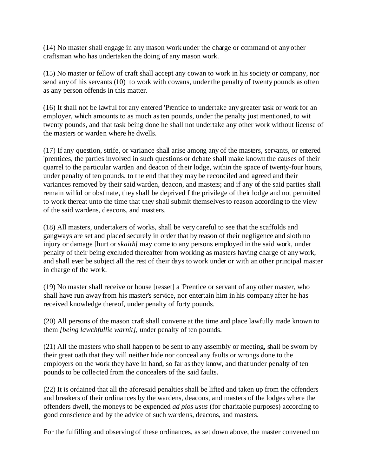(14) No master shall engage in any mason work under the charge or command of any other craftsman who has undertaken the doing of any mason work.

(15) No master or fellow of craft shall accept any cowan to work in his society or company, nor send any of his servants (10) to work with cowans, under the penalty of twenty pounds as often as any person offends in this matter.

(16) It shall not be lawful for any entered 'Prentice to undertake any greater task or work for an employer, which amounts to as much as ten pounds, under the penalty just mentioned, to wit twenty pounds, and that task being done he shall not undertake any other work without license of the masters or warden where he dwells.

(17) If any question, strife, or variance shall arise among any of the masters, servants, or entered 'prentices, the parties involved in such questions or debate shall make known the causes of their quarrel to the particular warden and deacon of their lodge, within the space of twenty-four hours, under penalty of ten pounds, to the end that they may be reconciled and agreed and their variances removed by their said warden, deacon, and masters; and if any of the said parties shall remain wilful or obstinate, they shall be deprived f the privilege of their lodge and not permitted to work thereat unto the time that they shall submit themselves to reason according to the view of the said wardens, deacons, and masters.

(18) All masters, undertakers of works, shall be very careful to see that the scaffolds and gangways are set and placed securely in order that by reason of their negligence and sloth no injury or damage [hurt or *skaith]* may come to any persons employed in the said work, under penalty of their being excluded thereafter from working as masters having charge of any work, and shall ever be subject all the rest of their days to work under or with an other principal master in charge of the work.

(19) No master shall receive or house [resset] a 'Prentice or servant of any other master, who shall have run away from his master's service, nor entertain him in his company after he has received knowledge thereof, under penalty of forty pounds.

(20) All persons of the mason craft shall convene at the time and place lawfully made known to them *[being lawchfullie warnit],* under penalty of ten pounds.

(21) All the masters who shall happen to be sent to any assembly or meeting, shall be sworn by their great oath that they will neither hide nor conceal any faults or wrongs done to the employers on the work they have in hand, so far as they know, and that under penalty of ten pounds to be collected from the concealers of the said faults.

(22) It is ordained that all the aforesaid penalties shall be lifted and taken up from the offenders and breakers of their ordinances by the wardens, deacons, and masters of the lodges where the offenders dwell, the moneys to be expended *ad pios usus* (for charitable purposes) according to good conscience and by the advice of such wardens, deacons, and masters.

For the fulfilling and observing of these ordinances, as set down above, the master convened on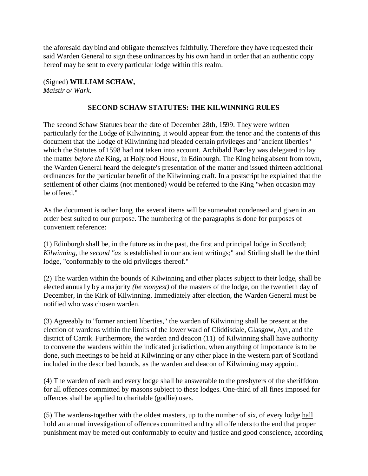the aforesaid day bind and obligate themselves faithfully. Therefore they have requested their said Warden General to sign these ordinances by his own hand in order that an authentic copy hereof may be sent to every particular lodge within this realm.

#### (Signed) **WILLIAM SCHAW,**

*Maistir o/ Wark.*

### **SECOND SCHAW STATUTES: THE KILWINNING RULES**

The second Schaw Statutes bear the date of December 28th, 1599. They were written particularly for the Lodge of Kilwinning. It would appear from the tenor and the contents of this document that the Lodge of Kilwinning had pleaded certain privileges and "ancient liberties" which the Statutes of 1598 had not taken into account. Archibald Barclay was delegated to lay the matter *before the* King, at Holyrood House, in Edinburgh. The King being absent from town, the Warden General heard the delegate's presentation of the matter and issued thirteen additional ordinances for the particular benefit of the Kilwinning craft. In a postscript he explained that the settlement of other claims (not mentioned) would be referred to the King "when occasion may be offered."

As the document is rather long, the several items will be somewhat condensed and given in an order best suited to our purpose. The numbering of the paragraphs is done for purposes of convenient reference:

(1) Edinburgh shall be, in the future as in the past, the first and principal lodge in Scotland; *Kilwinning,* the *second "as* is established in our ancient writings;" and Stirling shall be the third lodge, "conformably to the old privileges thereof."

(2) The warden within the bounds of Kilwinning and other places subject to their lodge, shall be elected annually by a majority *(be monyest)* of the masters of the lodge, on the twentieth day of December, in the Kirk of Kilwinning. Immediately after election, the Warden General must be notified who was chosen warden.

(3) Agreeably to "former ancient liberties," the warden of Kilwinning shall be present at the election of wardens within the limits of the lower ward of Cliddisdale, Glasgow, Ayr, and the district of Carrik. Furthermore, the warden and deacon (11) of Kilwinning shall have authority to convene the wardens within the indicated jurisdiction, when anything of importance is to be done, such meetings to be held at Kilwinning or any other place in the western part of Scotland included in the described bounds, as the warden and deacon of Kilwinning may appoint.

(4) The warden of each and every lodge shall he answerable to the presbyters of the sheriffdom for all offences committed by masons subject to these lodges. One-third of all fines imposed for offences shall be applied to charitable (godlie) uses.

(5) The wardens-together with the oldest masters, up to the number of six, of every lodge hall hold an annual investigation of offences committed and try all offenders to the end that proper punishment may be meted out conformably to equity and justice and good conscience, according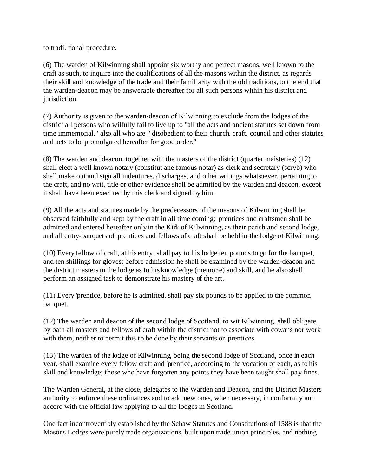to tradi. tional procedure.

(6) The warden of Kilwinning shall appoint six worthy and perfect masons, well known to the craft as such, to inquire into the qualifications of all the masons within the district, as regards their skill and knowledge of the trade and their familiarity with the old traditions, to the end that the warden-deacon may be answerable thereafter for all such persons within his district and jurisdiction.

(7) Authority is given to the warden-deacon of Kilwinning to exclude from the lodges of the district all persons who wilfully fail to live up to "all the acts and ancient statutes set down from time immemorial," also all who are ."disobedient to their church, craft, council and other statutes and acts to be promulgated hereafter for good order."

(8) The warden and deacon, together with the masters of the district (quarter maisteries) (12) shall elect a well known notary (constitut ane famous notar) as clerk and secretary (scryb) who shall make out and sign all indentures, discharges, and other writings whatsoever, pertaining to the craft, and no writ, title or other evidence shall be admitted by the warden and deacon, except it shall have been executed by this clerk and signed by him.

(9) All the acts and statutes made by the predecessors of the masons of Kilwinning shall be observed faithfully and kept by the craft in all time coming; 'prentices and craftsmen shall be admitted and entered hereafter only in the Kirk of Kilwinning, as their parish and second lodge, and all entry-banquets of 'prentices and fellows of craft shall be held in the lodge of Kilwinning.

(10) Every fellow of craft, at his entry, shall pay to his lodge ten pounds to go for the banquet, and ten shillings for gloves; before admission he shall be examined by the warden-deacon and the district masters in the lodge as to his knowledge (memorie) and skill, and he also shall perform an assigned task to demonstrate his mastery of the art.

(11) Every 'prentice, before he is admitted, shall pay six pounds to be applied to the common banquet.

(12) The warden and deacon of the second lodge of Scotland, to wit Kilwinning, shall obligate by oath all masters and fellows of craft within the district not to associate with cowans nor work with them, neither to permit this to be done by their servants or 'prentices.

(13) The warden of the lodge of Kilwinning, being the second lodge of Scotland, once in each year, shall examine every fellow craft and 'prentice, according to the vocation of each, as to his skill and knowledge; those who have forgotten any points they have been taught shall pay fines.

The Warden General, at the close, delegates to the Warden and Deacon, and the District Masters authority to enforce these ordinances and to add new ones, when necessary, in conformity and accord with the official law applying to all the lodges in Scotland.

One fact incontrovertibly established by the Schaw Statutes and Constitutions of 1588 is that the Masons Lodges were purely trade organizations, built upon trade union principles, and nothing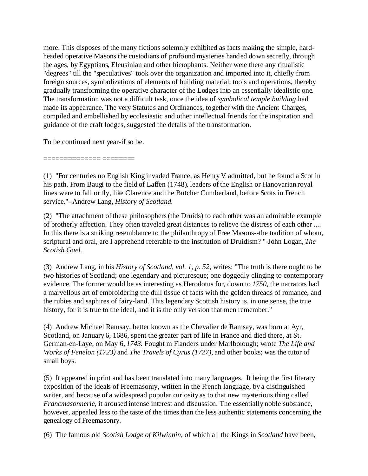more. This disposes of the many fictions solemnly exhibited as facts making the simple, hardheaded operative Masons the custodians of profound mysteries handed down secretly, through the ages, by Egyptians, Eleusinian and other hierophants. Neither were there any ritualistic "degrees" till the "speculatives" took over the organization and imported into it, chiefly from foreign sources, symbolizations of elements of building material, tools and operations, thereby gradually transforming the operative character of the Lodges into an essentially idealistic one. The transformation was not a difficult task, once the idea of *symbolical temple building* had made its appearance. The very Statutes and Ordinances, together with the Ancient Charges, compiled and embellished by ecclesiastic and other intellectual friends for the inspiration and guidance of the craft lodges, suggested the details of the transformation.

To be continued next year-if so be.

============== ========

(1) "For centuries no English King invaded France, as Henry V admitted, but he found a Scot in his path. From Baugi to the field of Laffen (1748), leaders of the English or Hanovarian royal lines were to fall or fly, like Clarence and the Butcher Cumberland, before Scots in French service."-Andrew Lang, *History of Scotland*.

(2) "The attachment of these philosophers (the Druids) to each other was an admirable example of brotherly affection. They often traveled great distances to relieve the distress of each other .... In this there is a striking resemblance to the philanthropy of Free Masons--the tradition of whom, scriptural and oral, are I apprehend referable to the institution of Druidism? "-John Logan, *The Scotish Gael.*

(3) Andrew Lang, in his *History of Scotland, vol. 1, p. 52,* writes: "The truth is there ought to be *two* histories of Scotland; one legendary and picturesque; one doggedly clinging to contemporary evidence. The former would be as interesting as Herodotus for, down to *1750,* the narrators had a marvellous art of embroidering the dull tissue of facts with the golden threads of romance, and the rubies and saphires of fairy-land. This legendary Scottish history is, in one sense, the true history, for it is true to the ideal, and it is the only version that men remember."

(4) Andrew Michael Ramsay, better known as the Chevalier de Ramsay, was born at Ayr, Scotland, on January 6, 1686, spent the greater part of life in France and died there, at St. German-en-Laye, on May 6, *1743.* Fought m Flanders under Marlborough; wrote *The Life and Works of Fenelon (1723)* and *The Travels of Cyrus (1727),* and other books; was the tutor of small boys.

(5) It appeared in print and has been translated into many languages. It being the first literary exposition of the ideals of Freemasonry, written in the French language, by a distinguished writer, and because of a widespread popular curiosity as to that new mysterious thing called *Francmasonnerie,* it aroused intense interest and discussion. The essentially noble substance, however, appealed less to the taste of the times than the less authentic statements concerning the genealogy of Freemasonry.

(6) The famous old *Scotish Lodge of Kilwinnin,* of which all the Kings in *Scotland* have been,